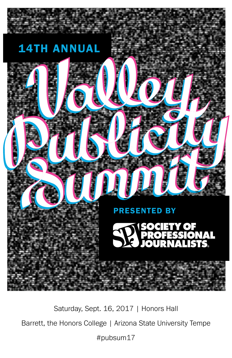

Saturday, Sept. 16, 2017 | Honors Hall Barrett, the Honors College | Arizona State University Tempe #pubsum17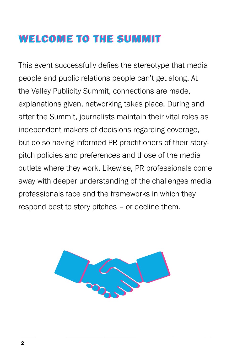## WELCOME TO THE SUMMIT

This event successfully defies the stereotype that media people and public relations people can't get along. At the Valley Publicity Summit, connections are made, explanations given, networking takes place. During and after the Summit, journalists maintain their vital roles as independent makers of decisions regarding coverage, but do so having informed PR practitioners of their storypitch policies and preferences and those of the media outlets where they work. Likewise, PR professionals come away with deeper understanding of the challenges media professionals face and the frameworks in which they respond best to story pitches – or decline them.

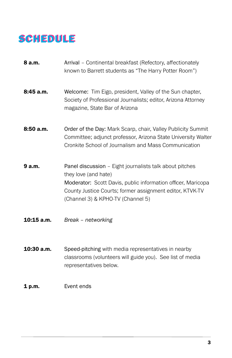# SCHEDULE

- **8 a.m.** Arrival Continental breakfast (Refectory, affectionately known to Barrett students as "The Harry Potter Room")
- 8:45 a.m. Welcome: Tim Eigo, president, Valley of the Sun chapter, Society of Professional Journalists; editor, Arizona Attorney magazine, State Bar of Arizona
- 8:50 a.m. Order of the Day: Mark Scarp, chair, Valley Publicity Summit Committee; adjunct professor, Arizona State University Walter Cronkite School of Journalism and Mass Communication
- **9 a.m.** Panel discussion Eight journalists talk about pitches they love (and hate) Moderator: Scott Davis, public information officer, Maricopa County Justice Courts; former assignment editor, KTVK-TV (Channel 3) & KPHO-TV (Channel 5)
- 10:15 a.m. *Break networking*
- **10:30 a.m.** Speed-pitching with media representatives in nearby classrooms (volunteers will guide you). See list of media representatives below.

#### 1 p.m. Event ends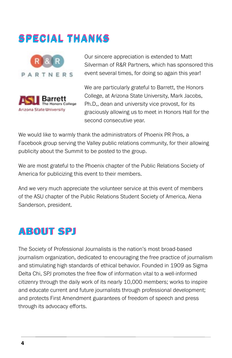# SPECIAL THANKS





Our sincere appreciation is extended to Matt Silverman of R&R Partners, which has sponsored this event several times, for doing so again this year!

We are particularly grateful to Barrett, the Honors College, at Arizona State University, Mark Jacobs, Ph.D,, dean and university vice provost, for its graciously allowing us to meet in Honors Hall for the second consecutive year.

We would like to warmly thank the administrators of Phoenix PR Pros, a Facebook group serving the Valley public relations community, for their allowing publicity about the Summit to be posted to the group.

We are most grateful to the Phoenix chapter of the Public Relations Society of America for publicizing this event to their members.

And we very much appreciate the volunteer service at this event of members of the ASU chapter of the Public Relations Student Society of America, Alena Sanderson, president.

## ABOUT SPJ ABOUT SPJ

The Society of Professional Journalists is the nation's most broad-based journalism organization, dedicated to encouraging the free practice of journalism and stimulating high standards of ethical behavior. Founded in 1909 as Sigma Delta Chi, SPJ promotes the free flow of information vital to a well-informed citizenry through the daily work of its nearly 10,000 members; works to inspire and educate current and future journalists through professional development; and protects First Amendment guarantees of freedom of speech and press through its advocacy efforts.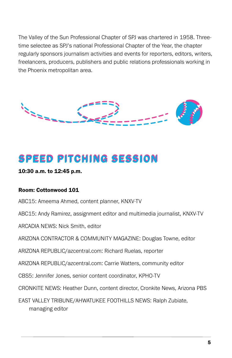The Valley of the Sun Professional Chapter of SPJ was chartered in 1958. Threetime selectee as SPJ's national Professional Chapter of the Year, the chapter regularly sponsors journalism activities and events for reporters, editors, writers, freelancers, producers, publishers and public relations professionals working in the Phoenix metropolitan area.



# SPEED PITCHING SESSION SPEED PITCHING SESSION

#### 10:30 a.m. to 12:45 p.m.

#### Room: Cottonwood 101

ABC15: Ameema Ahmed, content planner, KNXV-TV

ABC15: Andy Ramirez, assignment editor and multimedia journalist, KNXV-TV

ARCADIA NEWS: Nick Smith, editor

ARIZONA CONTRACTOR & COMMUNITY MAGAZINE: Douglas Towne, editor

ARIZONA REPUBLIC/azcentral.com: Richard Ruelas, reporter

ARIZONA REPUBLIC/azcentral.com: Carrie Watters, community editor

CBS5: Jennifer Jones, senior content coordinator, KPHO-TV

CRONKITE NEWS: Heather Dunn, content director, Cronkite News, Arizona PBS

EAST VALLEY TRIBUNE/AHWATUKEE FOOTHILLS NEWS: Ralph Zubiate, managing editor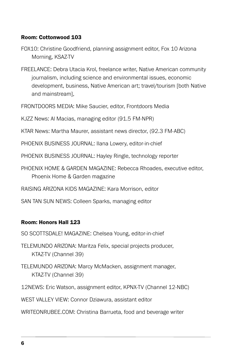### Room: Cottonwood 103

- FOX10: Christine Goodfriend, planning assignment editor, Fox 10 Arizona Morning, KSAZ-TV
- FREELANCE: Debra Utacia Krol, freelance writer, Native American community journalism, including science and environmental issues, economic development, business, Native American art; travel/tourism [both Native and mainstream],
- FRONTDOORS MEDIA: Mike Saucier, editor, Frontdoors Media
- KJZZ News: Al Macias, managing editor (91.5 FM-NPR)
- KTAR News: Martha Maurer, assistant news director, (92.3 FM-ABC)
- PHOENIX BUSINESS JOURNAL: Ilana Lowery, editor-in-chief
- PHOENIX BUSINESS JOURNAL: Hayley Ringle, technology reporter
- PHOENIX HOME & GARDEN MAGAZINE: Rebecca Rhoades, executive editor, Phoenix Home & Garden magazine
- RAISING ARIZONA KIDS MAGAZINE: Kara Morrison, editor
- SAN TAN SUN NEWS: Colleen Sparks, managing editor

#### Room: Honors Hall 123

- SO SCOTTSDALE! MAGAZINE: Chelsea Young, editor-in-chief
- TELEMUNDO ARIZONA: Maritza Felix, special projects producer, KTAZ-TV (Channel 39)
- TELEMUNDO ARIZONA: Marcy McMacken, assignment manager, KTAZ-TV (Channel 39)
- 12NEWS: Eric Watson, assignment editor, KPNX-TV (Channel 12-NBC)
- WEST VALLEY VIEW: Connor Dziawura, assistant editor
- WRITEONRUBEE.COM: Christina Barrueta, food and beverage writer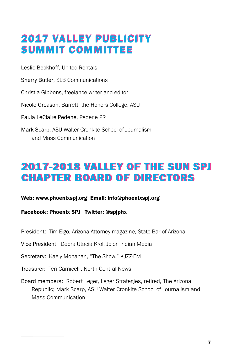# 2017 VALLEY PUBLICITY 2017 VALLEY PUBLICITY SUMMIT COMMITTEE

Leslie Beckhoff, United Rentals

Sherry Butler, SLB Communications

Christia Gibbons, freelance writer and editor

Nicole Greason, Barrett, the Honors College, ASU

Paula LeClaire Pedene, Pedene PR

Mark Scarp, ASU Walter Cronkite School of Journalism and Mass Communication

## 2017-2018 VALLEY OF THE SUN SPJ 2017-2018 VALLEY OF THE SUN SPJ CHAPTER BOARD OF DIRECTORS CHAPTER BOARD OF DIRECTORS

### Web: www.phoenixspj.org Email: info@phoenixspj.org

Facebook: Phoenix SPJ Twitter: @spjphx

President: Tim Eigo, Arizona Attorney magazine, State Bar of Arizona

Vice President: Debra Utacia Krol, Jolon Indian Media

Secretary: Kaely Monahan, "The Show," KJZZ-FM

Treasurer: Teri Carnicelli, North Central News

Board members: Robert Leger, Leger Strategies, retired, The Arizona Republic; Mark Scarp, ASU Walter Cronkite School of Journalism and Mass Communication